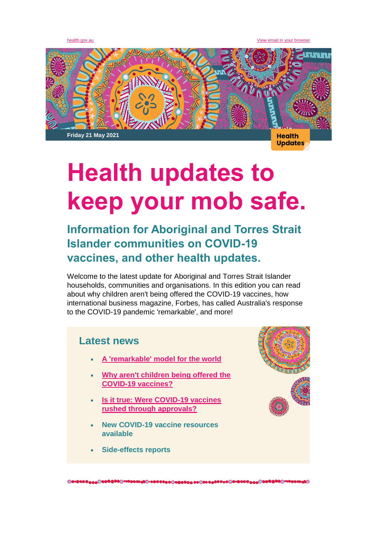[health.gov.au](http://health.gov.au/) [View email in your browser](https://mailchi.mp/a805fa869028/health-updates-to-keep-your-mob-safe?e=%5bUNIQID%5d)



# **Health updates to keep your mob safe.**

# **Information for Aboriginal and Torres Strait Islander communities on COVID-19 vaccines, and other health updates.**

Welcome to the latest update for Aboriginal and Torres Strait Islander households, communities and organisations. In this edition you can read about why children aren't being offered the COVID-19 vaccines, how international business magazine, Forbes, has called Australia's response to the COVID-19 pandemic 'remarkable', and more!

## **Latest news**

- **[A 'remarkable' model for the world](https://health.gov.au/news/newsletters/a-remarkable-model-for-the-world)**
- **[Why aren't children being offered the](https://www.health.gov.au/resources/videos/dr-lucas-de-toca-why-are-children-not-currently-able-to-receive-the-covid-19-vaccines)  [COVID-19 vaccines?](https://www.health.gov.au/resources/videos/dr-lucas-de-toca-why-are-children-not-currently-able-to-receive-the-covid-19-vaccines)**
- **[Is it true: Were COVID-19 vaccines](https://www.health.gov.au/initiatives-and-programs/covid-19-vaccines/is-it-true/is-it-true-were-covid-19-vaccines-rushed-through-approvals-or-given-emergency-use-authorisations-in-australia)  [rushed through approvals?](https://www.health.gov.au/initiatives-and-programs/covid-19-vaccines/is-it-true/is-it-true-were-covid-19-vaccines-rushed-through-approvals-or-given-emergency-use-authorisations-in-australia)**
- **New COVID-19 vaccine resources available**
- **Side-effects reports**

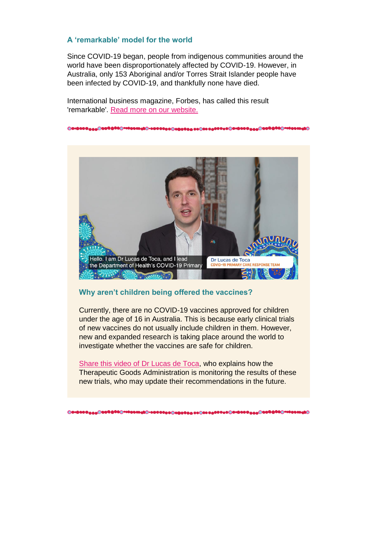#### **A 'remarkable' model for the world**

Since COVID-19 began, people from indigenous communities around the world have been disproportionately affected by COVID-19. However, in Australia, only 153 Aboriginal and/or Torres Strait Islander people have been infected by COVID-19, and thankfully none have died.

International business magazine, Forbes, has called this result 'remarkable'. [Read more on our website.](https://health.gov.au/news/newsletters/a-remarkable-model-for-the-world)



#### **Why aren't children being offered the vaccines?**

Currently, there are no COVID-19 vaccines approved for children under the age of 16 in Australia. This is because early clinical trials of new vaccines do not usually include children in them. However, new and expanded research is taking place around the world to investigate whether the vaccines are safe for children.

[Share this video of Dr Lucas de Toca,](https://www.health.gov.au/resources/videos/dr-lucas-de-toca-why-are-children-not-currently-able-to-receive-the-covid-19-vaccines) who explains how the Therapeutic Goods Administration is monitoring the results of these new trials, who may update their recommendations in the future.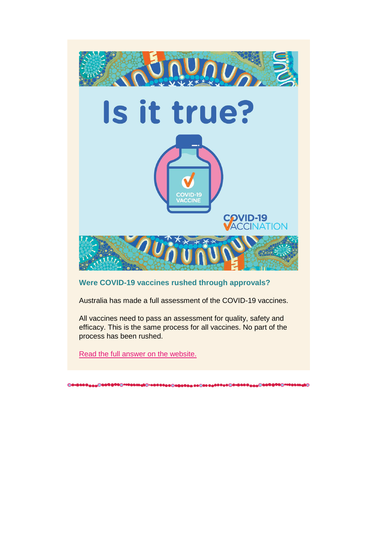

### **Were COVID-19 vaccines rushed through approvals?**

Australia has made a full assessment of the COVID-19 vaccines.

All vaccines need to pass an assessment for quality, safety and efficacy. This is the same process for all vaccines. No part of the process has been rushed.

[Read the full answer on the website.](https://www.health.gov.au/initiatives-and-programs/covid-19-vaccines/is-it-true/is-it-true-were-covid-19-vaccines-rushed-through-approvals-or-given-emergency-use-authorisations-in-australia)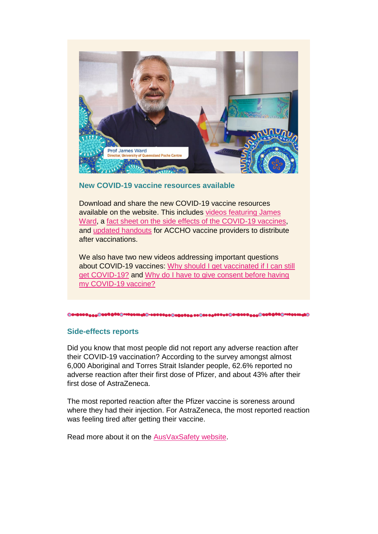

#### **New COVID-19 vaccine resources available**

Download and share the new COVID-19 vaccine resources available on the website. This includes [videos featuring James](https://www.health.gov.au/resources/videos/covid-19-vaccination-professor-james-ward-when-is-it-my-turn)  [Ward,](https://www.health.gov.au/resources/videos/covid-19-vaccination-professor-james-ward-when-is-it-my-turn) a [fact sheet on the side effects of the COVID-19 vaccines,](https://www.health.gov.au/resources/publications/side-effects-of-covid-19-vaccines-aboriginal-and-torres-strait-islander-peoples) and [updated handouts](https://www.health.gov.au/resources/publications/covid-19-vaccination-fact-sheet-aboriginal-torres-strait-islander-vaccine-providers) for ACCHO vaccine providers to distribute after vaccinations.

We also have two new videos addressing important questions about COVID-19 vaccines: [Why should I get vaccinated if I can still](https://health.govcms.gov.au/resources/videos/video-dr-lucas-de-toca-why-should-i-get-vaccinated-if-i-can-still-get-covid-19)  [get COVID-19?](https://health.govcms.gov.au/resources/videos/video-dr-lucas-de-toca-why-should-i-get-vaccinated-if-i-can-still-get-covid-19) and [Why do I have to give consent before having](https://health.govcms.gov.au/resources/videos/video-dr-lucas-de-toca-why-do-i-have-to-give-consent-before-having-my-covid-19-vaccine)  [my COVID-19 vaccine?](https://health.govcms.gov.au/resources/videos/video-dr-lucas-de-toca-why-do-i-have-to-give-consent-before-having-my-covid-19-vaccine)

#### **Side-effects reports**

Did you know that most people did not report any adverse reaction after their COVID-19 vaccination? According to the survey amongst almost 6,000 Aboriginal and Torres Strait Islander people, 62.6% reported no adverse reaction after their first dose of Pfizer, and about 43% after their first dose of AstraZeneca.

The most reported reaction after the Pfizer vaccine is soreness around where they had their injection. For AstraZeneca, the most reported reaction was feeling tired after getting their vaccine.

Read more about it on the [AusVaxSafety website.](https://www.ausvaxsafety.org.au/safety-data/covid-19-vaccines)